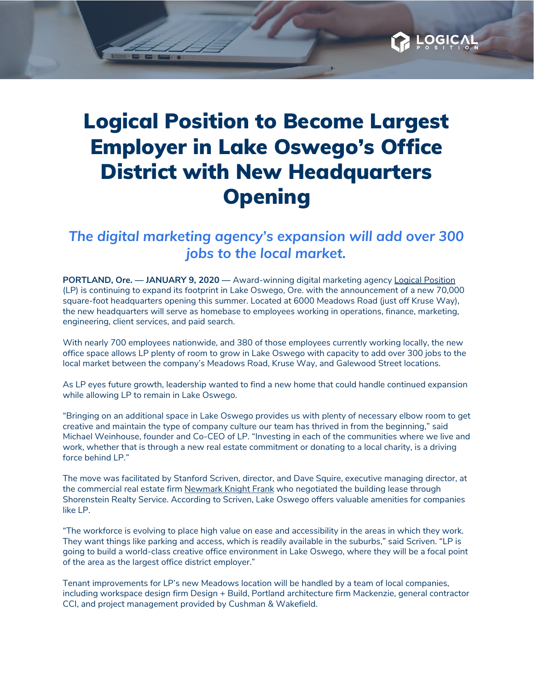## Logical Position to Become Largest Employer in Lake Oswego's Office District with New Headquarters **Opening**

## *The digital marketing agency's expansion will add over 300 jobs to the local market.*

**PORTLAND, Ore. — JANUARY 9, 2020 —** Award-winning digital marketing agency Logical [Position](https://www.logicalposition.com/) (LP) is continuing to expand its footprint in Lake Oswego, Ore. with the announcement of a new 70,000 square-foot headquarters opening this summer. Located at 6000 Meadows Road (just off Kruse Way), the new headquarters will serve as homebase to employees working in operations, finance, marketing, engineering, client services, and paid search.

With nearly 700 employees nationwide, and 380 of those employees currently working locally, the new office space allows LP plenty of room to grow in Lake Oswego with capacity to add over 300 jobs to the local market between the company's Meadows Road, Kruse Way, and Galewood Street locations.

As LP eyes future growth, leadership wanted to find a new home that could handle continued expansion while allowing LP to remain in Lake Oswego.

"Bringing on an additional space in Lake Oswego provides us with plenty of necessary elbow room to get creative and maintain the type of company culture our team has thrived in from the beginning," said Michael Weinhouse, founder and Co-CEO of LP. "Investing in each of the communities where we live and work, whether that is through a new real estate commitment or donating to a local charity, is a driving force behind LP."

The move was facilitated by Stanford Scriven, director, and Dave Squire, executive managing director, at the commercial real estate firm [Newmark](http://www.ngkf.com/home/about-our-firm/global-offices/us-offices/portland.aspx) Knight Frank who negotiated the building lease through Shorenstein Realty Service. According to Scriven, Lake Oswego offers valuable amenities for companies like LP.

"The workforce is evolving to place high value on ease and accessibility in the areas in which they work. They want things like parking and access, which is readily available in the suburbs," said Scriven. "LP is going to build a world-class creative office environment in Lake Oswego, where they will be a focal point of the area as the largest office district employer."

Tenant improvements for LP's new Meadows location will be handled by a team of local companies, including workspace design firm Design + Build, Portland architecture firm Mackenzie, general contractor CCI, and project management provided by Cushman & Wakefield.